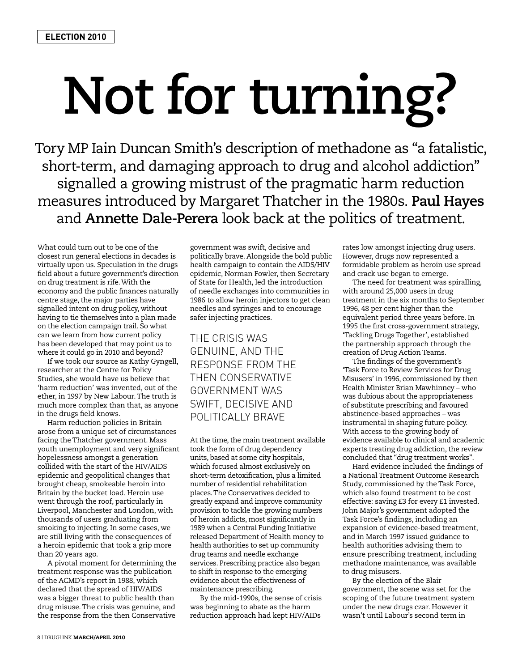## **Not for turning?**

Tory MP Iain Duncan Smith's description of methadone as "a fatalistic, short-term, and damaging approach to drug and alcohol addiction" signalled a growing mistrust of the pragmatic harm reduction measures introduced by Margaret Thatcher in the 1980s. **Paul Hayes** and **Annette Dale-Perera** look back at the politics of treatment.

What could turn out to be one of the closest run general elections in decades is virtually upon us. Speculation in the drugs field about a future government's direction on drug treatment is rife. With the economy and the public finances naturally centre stage, the major parties have signalled intent on drug policy, without having to tie themselves into a plan made on the election campaign trail. So what can we learn from how current policy has been developed that may point us to where it could go in 2010 and beyond?

If we took our source as Kathy Gyngell, researcher at the Centre for Policy Studies, she would have us believe that 'harm reduction' was invented, out of the ether, in 1997 by New Labour. The truth is much more complex than that, as anyone in the drugs field knows.

Harm reduction policies in Britain arose from a unique set of circumstances facing the Thatcher government. Mass youth unemployment and very significant hopelessness amongst a generation collided with the start of the HIV/AIDS epidemic and geopolitical changes that brought cheap, smokeable heroin into Britain by the bucket load. Heroin use went through the roof, particularly in Liverpool, Manchester and London, with thousands of users graduating from smoking to injecting. In some cases, we are still living with the consequences of a heroin epidemic that took a grip more than 20 years ago.

A pivotal moment for determining the treatment response was the publication of the ACMD's report in 1988, which declared that the spread of HIV/AIDS was a bigger threat to public health than drug misuse. The crisis was genuine, and the response from the then Conservative

government was swift, decisive and politically brave. Alongside the bold public health campaign to contain the AIDS/HIV epidemic, Norman Fowler, then Secretary of State for Health, led the introduction of needle exchanges into communities in 1986 to allow heroin injectors to get clean needles and syringes and to encourage safer injecting practices.

THE CRISIS WAS GENUINE, AND THE RESPONSE FROM THE THEN CONSERVATIVE GOVERNMENT WAS SWIFT, DECISIVE AND POLITICALLY BRAVE

At the time, the main treatment available took the form of drug dependency units, based at some city hospitals, which focused almost exclusively on short-term detoxification, plus a limited number of residential rehabilitation places. The Conservatives decided to greatly expand and improve community provision to tackle the growing numbers of heroin addicts, most significantly in 1989 when a Central Funding Initiative released Department of Health money to health authorities to set up community drug teams and needle exchange services. Prescribing practice also began to shift in response to the emerging evidence about the effectiveness of maintenance prescribing.

By the mid-1990s, the sense of crisis was beginning to abate as the harm reduction approach had kept HIV/AIDs

rates low amongst injecting drug users. However, drugs now represented a formidable problem as heroin use spread and crack use began to emerge.

The need for treatment was spiralling, with around 25,000 users in drug treatment in the six months to September 1996, 48 per cent higher than the equivalent period three years before. In 1995 the first cross-government strategy, 'Tackling Drugs Together', established the partnership approach through the creation of Drug Action Teams.

The findings of the government's 'Task Force to Review Services for Drug Misusers' in 1996, commissioned by then Health Minister Brian Mawhinney – who was dubious about the appropriateness of substitute prescribing and favoured abstinence-based approaches – was instrumental in shaping future policy. With access to the growing body of evidence available to clinical and academic experts treating drug addiction, the review concluded that "drug treatment works".

Hard evidence included the findings of a National Treatment Outcome Research Study, commissioned by the Task Force, which also found treatment to be cost effective: saving £3 for every £1 invested. John Major's government adopted the Task Force's findings, including an expansion of evidence-based treatment, and in March 1997 issued guidance to health authorities advising them to ensure prescribing treatment, including methadone maintenance, was available to drug misusers.

By the election of the Blair government, the scene was set for the scoping of the future treatment system under the new drugs czar. However it wasn't until Labour's second term in